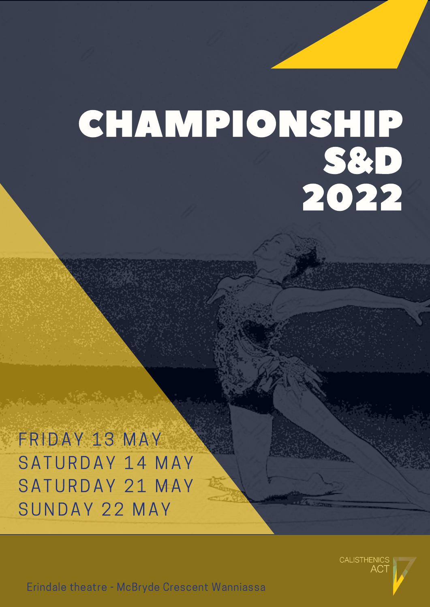# CHAMPIONSHIP S&D 2022

FRIDAY 13 MAY SATURDAY 14 MAY SATURDAY 21 MAY SUNDAY 22 MAY

**CALISTHENICS** 

Erindale theatre - McBryde Crescent Wanniassa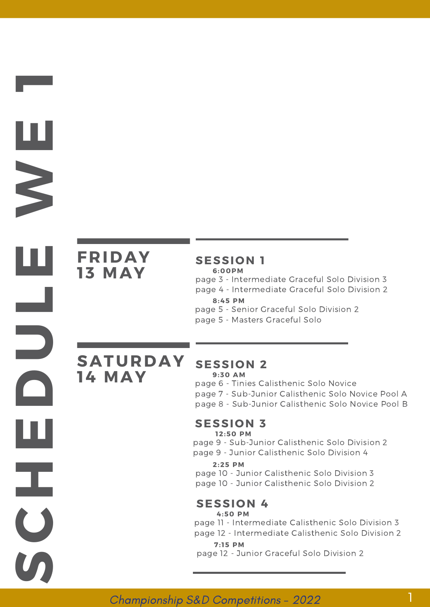## **FRIDAY 13 MAY**

**S** 

**C**

**H**

**E**

**D**

**U**

**L**

**E**

**W**

**E**

**1**

#### **SESSION 1 6:00PM**

page 3 - Intermediate Graceful Solo Division 3

page 4 - Intermediate Graceful Solo Division 2

#### **8:45 PM**

page 5 - Senior Graceful Solo Division 2

page 5 - Masters Graceful Solo

**SATURDAY 14 MAY**

#### **SESSION 2**

**9:30 AM**

page 6 - Tinies Calisthenic Solo Novice

page 7 - Sub-Junior Calisthenic Solo Novice Pool A

page 8 - Sub-Junior Calisthenic Solo Novice Pool B

#### **SESSION 3**

**12:50 PM**

page 9 - Sub-Junior Calisthenic Solo Division 2

page 9 - Junior Calisthenic Solo Division 4

**2:25 PM**

page 10 - Junior Calisthenic Solo Division 3 page 10 - Junior Calisthenic Solo Division 2

#### **SESSION 4**

**4:50 PM**

page 11 - Intermediate Calisthenic Solo Division 3

page 12 - Intermediate Calisthenic Solo Division 2 **7: 15 PM**

1

page 12 - Junior Graceful Solo Division 2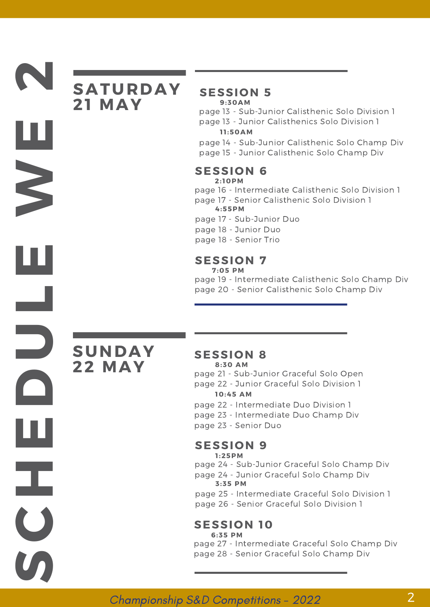## **SATURDAY 21 MAY**

#### **SESSION 5 9:30AM**

- page 13 Sub-Junior Calisthenic Solo Division 1
- page 13 Junior Calisthenics Solo Division 1

**1 1 :50AM**

- page 14 Sub-Junior Calisthenic Solo Champ Div
- page 15 Junior Calisthenic Solo Champ Div

#### **SESSION 6 2: 10PM**

- page 16 Intermediate Calisthenic Solo Division 1
- page 17 Senior Calisthenic Solo Division 1 **4:55PM**
- page 17 Sub-Junior Duo
- page 18 Junior Duo
- page 18 Senior Trio

#### **SESSION 7**

**7:05 PM**

page 19 - Intermediate Calisthenic Solo Champ Div page 20 - Senior Calisthenic Solo Champ Div

## **SUNDAY 22 MAY**

**S** 

**C**

**H**

**E**

**D**

**U**

**L**

**E**

**W**

**E**

**2**

#### **SESSION 8**

**8:30 AM**

page 21 - Sub-Junior Graceful Solo Open

page 22 - Junior Graceful Solo Division 1 **10:45 AM**

- page 22 Intermediate Duo Division 1
- page 23 Intermediate Duo Champ Div
- page 23 Senior Duo

#### **SESSION 9**

page 24 - Sub-Junior Graceful Solo Champ Div **1 :25PM**

page 24 - Junior Graceful Solo Champ Div **3:35 PM**

page 25 - Intermediate Graceful Solo Division 1

page 26 - Senior Graceful Solo Division 1

#### **SESSION 10 6:35 PM**

page 27 - Intermediate Graceful Solo Champ Div page 28 - Senior Graceful Solo Champ Div

#### Championship S&D Competitions - 2022 2014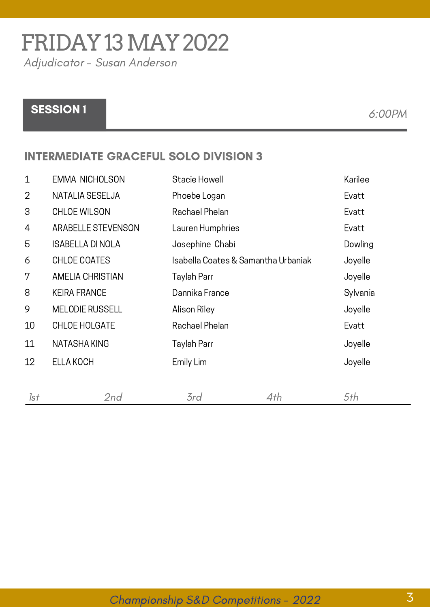# FRIDAY13MAY2022

Adjudicator - Susan Anderson

### SESSION 1 6:00PM

#### INTERMEDIATE GRACEFUL SOLO DIVISION 3

| $\mathbf 1$    | <b>EMMA NICHOLSON</b>     | Stacie Howell                       |     | Karilee  |
|----------------|---------------------------|-------------------------------------|-----|----------|
| $\overline{2}$ | NATALIA SESELJA           | Phoebe Logan                        |     | Evatt    |
| 3              | <b>CHLOE WILSON</b>       | Rachael Phelan                      |     | Evatt    |
| 4              | <b>ARABELLE STEVENSON</b> | Lauren Humphries                    |     | Evatt    |
| 5              | <b>ISABELLA DI NOLA</b>   | Josephine Chabi                     |     | Dowling  |
| 6              | CHLOE COATES              | Isabella Coates & Samantha Urbaniak |     | Joyelle  |
| 7              | AMELIA CHRISTIAN          | Taylah Parr                         |     | Joyelle  |
| 8              | <b>KEIRA FRANCE</b>       | Dannika France                      |     | Sylvania |
| 9              | <b>MELODIE RUSSELL</b>    | Alison Riley                        |     | Joyelle  |
| 10             | CHLOE HOLGATE             | Rachael Phelan                      |     | Evatt    |
| 11             | NATASHA KING              | Taylah Parr                         |     | Joyelle  |
| 12             | ELLA KOCH                 | Emily Lim                           |     | Joyelle  |
| 1st            | 2nd                       | 3rd                                 | 4th | 5th      |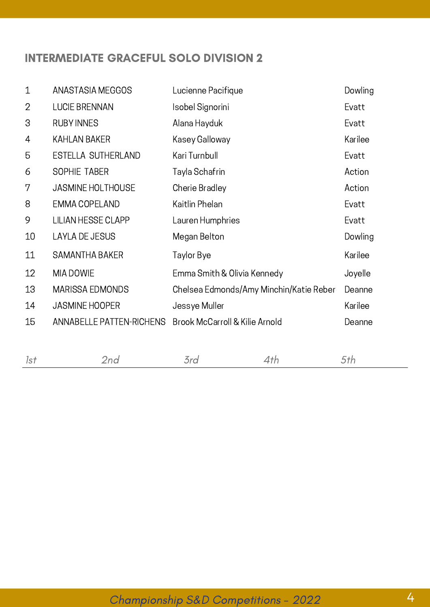#### INTERMEDIATE GRACEFUL SOLO DIVISION 2

| $\mathbf 1$    | ANASTASIA MEGGOS                | Lucienne Pacifique                      | Dowling |
|----------------|---------------------------------|-----------------------------------------|---------|
| $\overline{2}$ | <b>LUCIE BRENNAN</b>            | Isobel Signorini                        | Evatt   |
| 3              | <b>RUBY INNES</b>               | Alana Hayduk                            | Evatt   |
| 4              | KAHLAN BAKER                    | Kasey Galloway                          | Karilee |
| 5              | ESTELLA SUTHERLAND              | Kari Turnbull                           | Evatt   |
| 6              | <b>SOPHIE TABER</b>             | Tayla Schafrin                          | Action  |
| 7              | <b>JASMINE HOLTHOUSE</b>        | Cherie Bradley                          | Action  |
| 8              | <b>EMMA COPELAND</b>            | Kaitlin Phelan                          | Evatt   |
| 9              | <b>LILIAN HESSE CLAPP</b>       | Lauren Humphries                        | Evatt   |
| 10             | <b>LAYLA DE JESUS</b>           | Megan Belton                            | Dowling |
| 11             | <b>SAMANTHA BAKER</b>           | Taylor Bye                              | Karilee |
| 12             | MIA DOWIE                       | Emma Smith & Olivia Kennedy             | Joyelle |
| 13             | MARISSA EDMONDS                 | Chelsea Edmonds/Amy Minchin/Katie Reber | Deanne  |
| 14             | <b>JASMINE HOOPER</b>           | Jessye Muller                           | Karilee |
| 15             | <b>ANNABELLE PATTEN-RICHENS</b> | Brook McCarroll & Kilie Arnold          | Deanne  |
|                |                                 |                                         |         |
|                |                                 |                                         |         |

|--|--|--|--|--|--|--|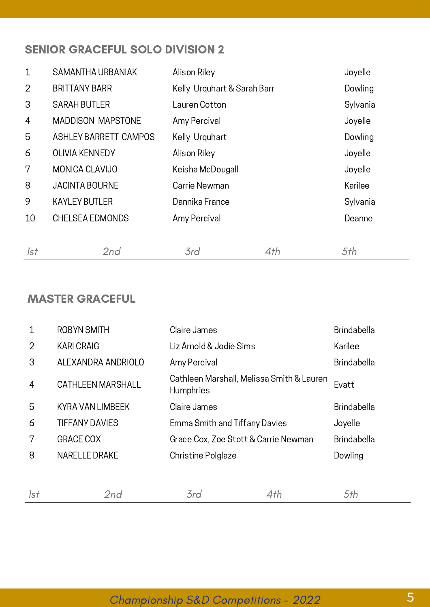#### SENIOR GRACEFUL SOLO DIVISION 2

| $\mathbf 1$    | SAMANTHA URBANIAK            | Alison Riley                |     | Joyelle  |
|----------------|------------------------------|-----------------------------|-----|----------|
| $\overline{2}$ | <b>BRITTANY BARR</b>         | Kelly Urquhart & Sarah Barr |     | Dowling  |
| 3              | <b>SARAH BUTLER</b>          | Lauren Cotton               |     | Sylvania |
| 4              | <b>MADDISON MAPSTONE</b>     | Amy Percival                |     | Joyelle  |
| 5              | <b>ASHLEY BARRETT-CAMPOS</b> | Kelly Urquhart              |     | Dowling  |
| 6              | <b>OLIVIA KENNEDY</b>        | Alison Riley                |     | Joyelle  |
| 7              | MONICA CLAVIJO               | Keisha McDougall            |     | Joyelle  |
| 8              | <b>JACINTA BOURNE</b>        | Carrie Newman               |     | Karilee  |
| 9              | <b>KAYLEY BUTLER</b>         | Dannika France              |     | Sylvania |
| 10             | <b>CHELSEA EDMONDS</b>       | Amy Percival                |     | Deanne   |
|                |                              |                             |     |          |
| 1st            | 2nd                          | 3rd                         | 4th | 5th      |

#### MASTER GRACEFUL

| $\mathbf 1$    | <b>ROBYN SMITH</b>       | Claire James                                           |     | Brindabella        |
|----------------|--------------------------|--------------------------------------------------------|-----|--------------------|
| $\overline{2}$ | <b>KARI CRAIG</b>        | Liz Arnold & Jodie Sims                                |     | Karilee            |
| 3              | ALEXANDRA ANDRIOLO       | Amy Percival                                           |     | <b>Brindabella</b> |
| $\overline{4}$ | <b>CATHLEEN MARSHALL</b> | Cathleen Marshall, Melissa Smith & Lauren<br>Humphries |     | Evatt              |
| 5              | KYRA VAN LIMBEEK         | Claire James                                           |     | <b>Brindabella</b> |
| 6              | <b>TIFFANY DAVIES</b>    | Emma Smith and Tiffany Davies                          |     | Joyelle            |
| 7              | <b>GRACE COX</b>         | Grace Cox, Zoe Stott & Carrie Newman                   |     | <b>Brindabella</b> |
| 8              | <b>NARELLE DRAKE</b>     | Christine Polglaze                                     |     | Dowling            |
|                |                          |                                                        |     |                    |
| 1st            | 2nd                      | 3rd                                                    | 4th | 5th                |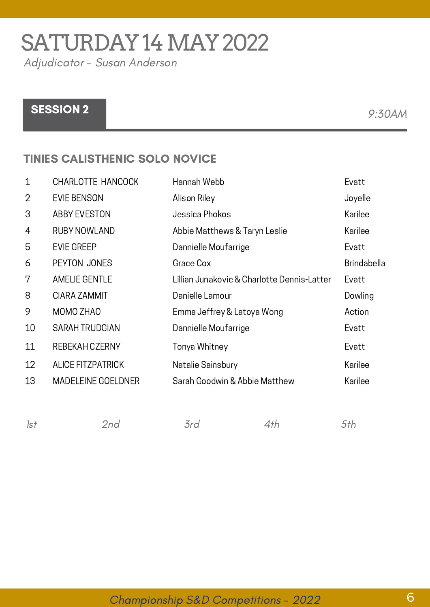# SATURDAY 14 MAY 2022

Adjudicator - Susan Anderson

## SESSION 2 9:30AM

#### TINIES CALISTHENIC SOLO NOVICE

| $\mathbf 1$    | CHARLOTTE HANCOCK         | Hannah Webb                                 | Evatt              |
|----------------|---------------------------|---------------------------------------------|--------------------|
| $\overline{2}$ | <b>EVIE BENSON</b>        | Alison Riley                                | Joyelle            |
| 3              | <b>ABBY EVESTON</b>       | Jessica Phokos                              | Karilee            |
| 4              | RUBY NOWLAND              | Abbie Matthews & Taryn Leslie               | Karilee            |
| 5              | <b>EVIE GREEP</b>         | Dannielle Moufarrige                        | Evatt              |
| 6              | PEYTON JONES              | Grace Cox                                   | <b>Brindabella</b> |
| 7              | <b>AMELIE GENTLE</b>      | Lillian Junakovic & Charlotte Dennis-Latter | Evatt              |
| 8              | CIARA ZAMMIT              | Danielle Lamour                             | Dowling            |
| 9              | MOMO ZHAO                 | Emma Jeffrey & Latoya Wong                  | Action             |
| 10             | <b>SARAH TRUDGIAN</b>     | Dannielle Moufarrige                        | Evatt              |
| 11             | REBEKAH CZERNY            | Tonya Whitney                               | Evatt              |
| 12             | <b>ALICE FITZPATRICK</b>  | Natalie Sainsbury                           | Karilee            |
| 13             | <b>MADELEINE GOELDNER</b> | Sarah Goodwin & Abbie Matthew               | Karilee            |

### Championship S&D Competitions - 2022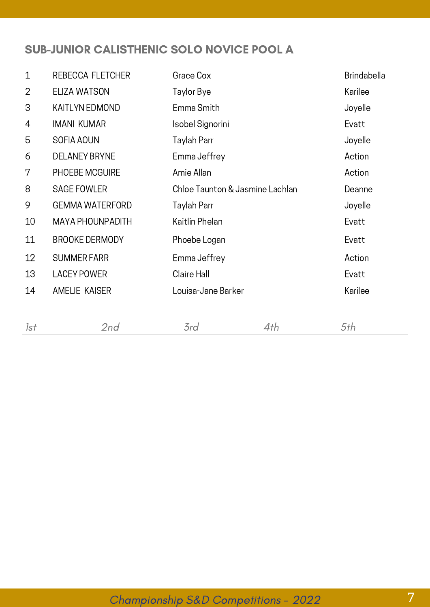#### SUB-JUNIOR CALISTHENIC SOLO NOVICE POOL A

| $\mathbf 1$    | REBECCA FLETCHER        | Grace Cox                       |     | Brindabella |
|----------------|-------------------------|---------------------------------|-----|-------------|
| $\overline{2}$ | ELIZA WATSON            | Taylor Bye                      |     | Karilee     |
| 3              | KAITLYN EDMOND          | Emma Smith                      |     | Joyelle     |
| 4              | <b>IMANI KUMAR</b>      | Isobel Signorini                |     | Evatt       |
| 5              | SOFIA AOUN              | Taylah Parr                     |     | Joyelle     |
| 6              | <b>DELANEY BRYNE</b>    | Emma Jeffrey                    |     | Action      |
| 7              | PHOEBE MCGUIRE          | Amie Allan                      |     | Action      |
| 8              | <b>SAGE FOWLER</b>      | Chloe Taunton & Jasmine Lachlan |     | Deanne      |
| 9              | <b>GEMMA WATERFORD</b>  | Taylah Parr                     |     | Joyelle     |
| 10             | <b>MAYA PHOUNPADITH</b> | Kaitlin Phelan                  |     | Evatt       |
| 11             | <b>BROOKE DERMODY</b>   | Phoebe Logan                    |     | Evatt       |
| 12             | <b>SUMMER FARR</b>      | Emma Jeffrey                    |     | Action      |
| 13             | <b>LACEY POWER</b>      | Claire Hall                     |     | Evatt       |
| 14             | <b>AMELIE KAISER</b>    | Louisa-Jane Barker              |     | Karilee     |
| 1st            | 2nd                     | 3rd                             | 4th | 5th         |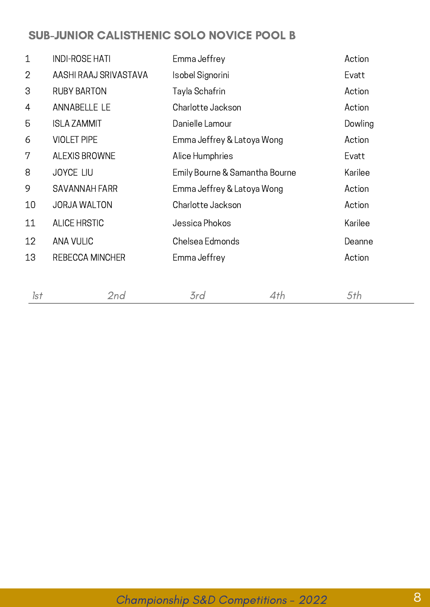#### SUB-JUNIOR CALISTHENIC SOLO NOVICE POOL B

| $\mathbf 1$    | <b>INDI-ROSE HATI</b> | Emma Jeffrey                   | Action  |
|----------------|-----------------------|--------------------------------|---------|
| $\overline{2}$ | AASHI RAAJ SRIVASTAVA | Isobel Signorini               | Evatt   |
| 3              | <b>RUBY BARTON</b>    | Tayla Schafrin                 | Action  |
| 4              | ANNABELLE LE          | Charlotte Jackson              | Action  |
| 5              | <b>ISLA ZAMMIT</b>    | Danielle Lamour                | Dowling |
| 6              | <b>VIOLET PIPE</b>    | Emma Jeffrey & Latoya Wong     | Action  |
| 7              | <b>ALEXIS BROWNE</b>  | Alice Humphries                | Evatt   |
| 8              | <b>JOYCE LIU</b>      | Emily Bourne & Samantha Bourne | Karilee |
| 9              | <b>SAVANNAH FARR</b>  | Emma Jeffrey & Latoya Wong     | Action  |
| 10             | <b>JORJA WALTON</b>   | Charlotte Jackson              | Action  |
| 11             | <b>ALICE HRSTIC</b>   | Jessica Phokos                 | Karilee |
| 12             | <b>ANA VULIC</b>      | Chelsea Edmonds                | Deanne  |
| 13             | REBECCA MINCHER       | Emma Jeffrey                   | Action  |
|                |                       |                                |         |
|                |                       |                                |         |

| 1st | 2nd | 3rd | 4th | .5th |
|-----|-----|-----|-----|------|
|     |     |     |     |      |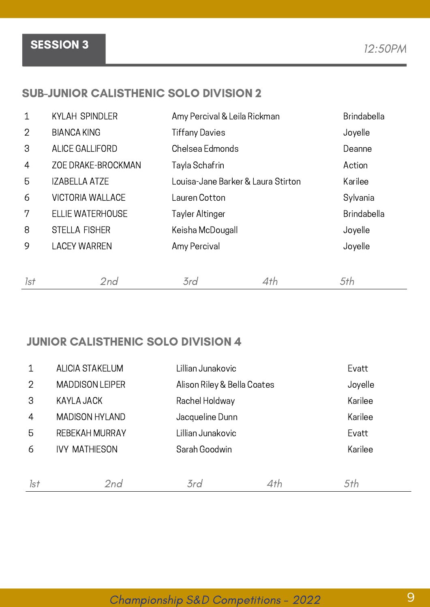## SESSION 3 12:50PM

#### SUB-JUNIOR CALISTHENIC SOLO DIVISION 2

| $\mathbf 1$    | <b>KYLAH SPINDLER</b>   | Amy Percival & Leila Rickman       |     | Brindabella        |
|----------------|-------------------------|------------------------------------|-----|--------------------|
| $\overline{2}$ | <b>BIANCA KING</b>      | <b>Tiffany Davies</b>              |     | Joyelle            |
| 3              | <b>ALICE GALLIFORD</b>  | Chelsea Edmonds                    |     | Deanne             |
| 4              | ZOE DRAKE-BROCKMAN      | Tayla Schafrin                     |     | Action             |
| 5              | <b>IZABELLA ATZE</b>    | Louisa-Jane Barker & Laura Stirton |     | Karilee            |
| 6              | <b>VICTORIA WALLACE</b> | Lauren Cotton                      |     | Sylvania           |
| 7              | <b>ELLIE WATERHOUSE</b> | Tayler Altinger                    |     | <b>Brindabella</b> |
| 8              | <b>STELLA FISHER</b>    | Keisha McDougall                   |     | Joyelle            |
| 9              | <b>LACEY WARREN</b>     | Amy Percival                       |     | Joyelle            |
|                |                         |                                    |     |                    |
| 1st            | 2nd                     | 3rd                                | 4th | 5th                |

#### JUNIOR CALISTHENIC SOLO DIVISION 4

|                | <b>ALICIA STAKELUM</b> | Lillian Junakovic           |     | Evatt   |
|----------------|------------------------|-----------------------------|-----|---------|
| $\overline{2}$ | <b>MADDISON LEIPER</b> | Alison Riley & Bella Coates |     | Joyelle |
| 3              | KAYLA JACK             | Rachel Holdway              |     | Karilee |
| $\overline{4}$ | <b>MADISON HYLAND</b>  | Jacqueline Dunn             |     | Karilee |
| 5              | REBEKAH MURRAY         | Lillian Junakovic           |     | Evatt   |
| 6              | <b>IVY MATHIESON</b>   | Sarah Goodwin               |     | Karilee |
|                |                        |                             |     |         |
| 1st            | 2nd                    | 3rd                         | 4th | 5th     |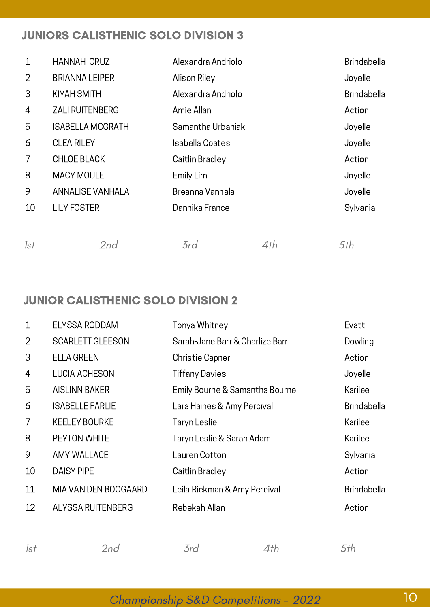#### JUNIORS CALISTHENIC SOLO DIVISION 3

| $\mathbf{1}$   | HANNAH CRUZ             | Alexandra Andriolo |     | <b>Brindabella</b> |
|----------------|-------------------------|--------------------|-----|--------------------|
| $\overline{2}$ | <b>BRIANNA LEIPER</b>   | Alison Riley       |     | Joyelle            |
| 3              | KIYAH SMITH             | Alexandra Andriolo |     | <b>Brindabella</b> |
| 4              | <b>ZALI RUITENBERG</b>  | Amie Allan         |     | Action             |
| 5              | <b>ISABELLA MCGRATH</b> | Samantha Urbaniak  |     | Joyelle            |
| 6              | <b>CLEA RILEY</b>       | Isabella Coates    |     | Joyelle            |
| 7              | <b>CHLOE BLACK</b>      | Caitlin Bradley    |     | Action             |
| 8              | <b>MACY MOULE</b>       | Emily Lim          |     | Joyelle            |
| 9              | <b>ANNALISE VANHALA</b> | Breanna Vanhala    |     | Joyelle            |
| 10             | <b>LILY FOSTER</b>      | Dannika France     |     | Sylvania           |
|                |                         |                    |     |                    |
| 1st            | 2nd                     | 3rd                | 4th | 5th                |

#### JUNIOR CALISTHENIC SOLO DIVISION 2

| $\mathbf{1}$ | ELYSSA RODDAM           | Tonya Whitney                   | Evatt              |
|--------------|-------------------------|---------------------------------|--------------------|
| 2            | <b>SCARLETT GLEESON</b> | Sarah-Jane Barr & Charlize Barr | Dowling            |
| 3            | <b>ELLA GREEN</b>       | Christie Capner                 | Action             |
| 4            | <b>LUCIA ACHESON</b>    | <b>Tiffany Davies</b>           | Joyelle            |
| 5            | <b>AISLINN BAKER</b>    | Emily Bourne & Samantha Bourne  | Karilee            |
| 6            | <b>ISABELLE FARLIE</b>  | Lara Haines & Amy Percival      | <b>Brindabella</b> |
| 7            | <b>KEELEY BOURKE</b>    | Taryn Leslie                    | Karilee            |
| 8            | PEYTON WHITE            | Taryn Leslie & Sarah Adam       | Karilee            |
| 9            | AMY WALLACE             | Lauren Cotton                   | Sylvania           |
| 10           | <b>DAISY PIPE</b>       | Caitlin Bradley                 | Action             |
| 11           | MIA VAN DEN BOOGAARD    | Leila Rickman & Amy Percival    | <b>Brindabella</b> |
| 12           | ALYSSA RUITENBERG       | Rebekah Allan                   | Action             |
|              |                         |                                 |                    |
|              |                         |                                 |                    |

1st 2nd 3rd 4th 5th

## Championship S&D Competitions - 2022 10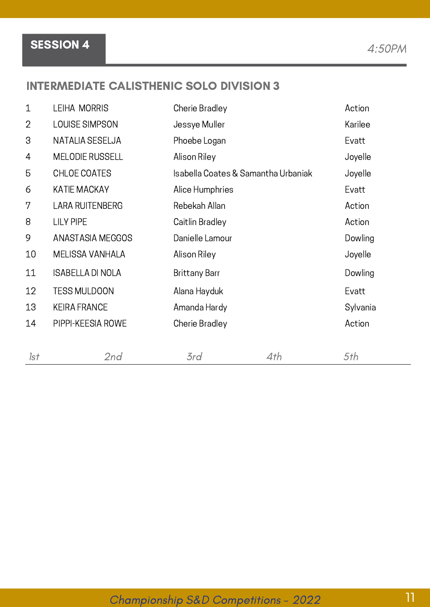#### INTERMEDIATE CALISTHENIC SOLO DIVISION 3

| $\mathbf 1$    | LEIHA MORRIS            | Cherie Bradley                      |     | Action   |
|----------------|-------------------------|-------------------------------------|-----|----------|
| $\overline{2}$ | LOUISE SIMPSON          | Jessye Muller                       |     | Karilee  |
| 3              | NATALIA SESELJA         | Phoebe Logan                        |     | Evatt    |
| 4              | <b>MELODIE RUSSELL</b>  | Alison Riley                        |     | Joyelle  |
| 5              | CHLOE COATES            | Isabella Coates & Samantha Urbaniak |     | Joyelle  |
| 6              | <b>KATIE MACKAY</b>     | Alice Humphries                     |     | Evatt    |
| 7              | <b>LARA RUITENBERG</b>  | Rebekah Allan                       |     | Action   |
| 8              | <b>LILY PIPE</b>        | Caitlin Bradley                     |     | Action   |
| 9              | <b>ANASTASIA MEGGOS</b> | Danielle Lamour                     |     | Dowling  |
| 10             | MELISSA VANHALA         | Alison Riley                        |     | Joyelle  |
| 11             | <b>ISABELLA DI NOLA</b> | <b>Brittany Barr</b>                |     | Dowling  |
| 12             | <b>TESS MULDOON</b>     | Alana Hayduk                        |     | Evatt    |
| 13             | <b>KEIRA FRANCE</b>     | Amanda Hardy                        |     | Sylvania |
| 14             | PIPPI-KEESIA ROWE       | Cherie Bradley                      |     | Action   |
| 1st            | 2nd                     | 3rd                                 | 4th | 5th      |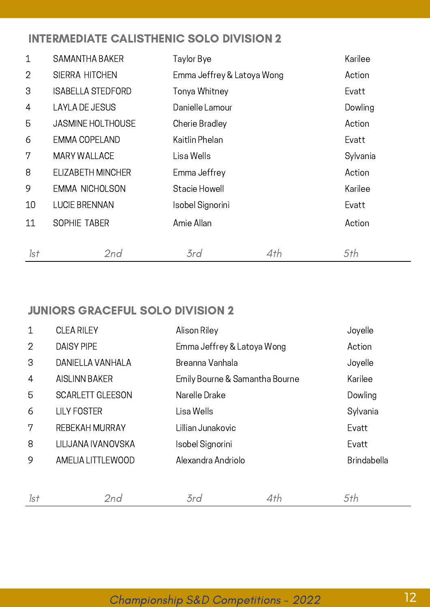#### INTERMEDIATE CALISTHENIC SOLO DIVISION 2

| $\mathbf 1$    | <b>SAMANTHA BAKER</b>    | Taylor Bye                 |     | Karilee  |
|----------------|--------------------------|----------------------------|-----|----------|
| $\overline{2}$ | <b>SIERRA HITCHEN</b>    | Emma Jeffrey & Latoya Wong |     | Action   |
| 3              | <b>ISABELLA STEDFORD</b> | Tonya Whitney              |     | Evatt    |
| 4              | <b>LAYLA DE JESUS</b>    | Danielle Lamour            |     | Dowling  |
| 5              | <b>JASMINE HOLTHOUSE</b> | Cherie Bradley             |     | Action   |
| 6              | EMMA COPELAND            | Kaitlin Phelan             |     | Evatt    |
| 7              | <b>MARY WALLACE</b>      | Lisa Wells                 |     | Sylvania |
| 8              | ELIZABETH MINCHER        | Emma Jeffrey               |     | Action   |
| 9              | <b>EMMA NICHOLSON</b>    | Stacie Howell              |     | Karilee  |
| 10             | <b>LUCIE BRENNAN</b>     | Isobel Signorini           |     | Evatt    |
| 11             | SOPHIE TABER             | Amie Allan                 |     | Action   |
| 1st            | 2nd                      | 3rd                        | 4th | 5th      |

#### JUNIORS GRACEFUL SOLO DIVISION 2

| $\mathbf 1$    | <b>CLEA RILEY</b>       | Alison Riley                   |     | Joyelle            |
|----------------|-------------------------|--------------------------------|-----|--------------------|
| $\overline{2}$ | <b>DAISY PIPE</b>       | Emma Jeffrey & Latoya Wong     |     | Action             |
| 3              | DANIELLA VANHALA        | Breanna Vanhala                |     | Joyelle            |
| $\overline{4}$ | <b>AISLINN BAKER</b>    | Emily Bourne & Samantha Bourne |     | Karilee            |
| 5              | <b>SCARLETT GLEESON</b> | Narelle Drake                  |     | Dowling            |
| 6              | <b>LILY FOSTER</b>      | Lisa Wells                     |     | Sylvania           |
| 7              | <b>REBEKAH MURRAY</b>   | Lillian Junakovic              |     | Evatt              |
| 8              | LILIJANA IVANOVSKA      | Isobel Signorini               |     | Evatt              |
| 9              | AMELIA LITTLEWOOD       | Alexandra Andriolo             |     | <b>Brindabella</b> |
|                |                         |                                |     |                    |
| 1st            | 2nd                     | 3rd                            | 4th | 5th                |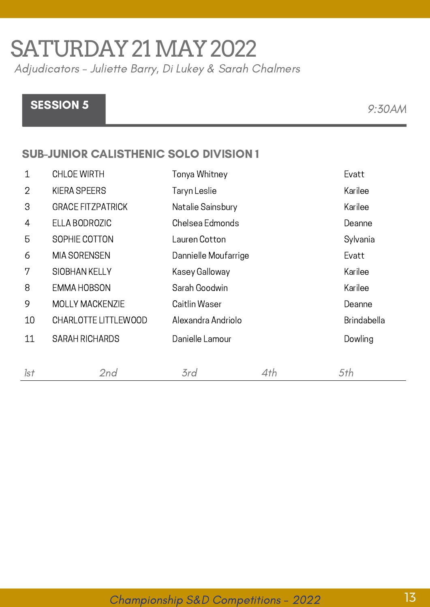# SATURDAY21MAY2022

Adjudicators - Juliette Barry, Di Lukey & Sarah Chalmers

## SESSION 5 9:30AM

#### SUB-JUNIOR CALISTHENIC SOLO DIVISION 1

| $\mathbf 1$    | <b>CHLOE WIRTH</b>       | Tonya Whitney        |     | Evatt              |
|----------------|--------------------------|----------------------|-----|--------------------|
| $\overline{2}$ | <b>KIERA SPEERS</b>      | Taryn Leslie         |     | Karilee            |
| 3              | <b>GRACE FITZPATRICK</b> | Natalie Sainsbury    |     | Karilee            |
| 4              | ELLA BODROZIC            | Chelsea Edmonds      |     | Deanne             |
| 5              | SOPHIE COTTON            | Lauren Cotton        |     | Sylvania           |
| 6              | <b>MIA SORENSEN</b>      | Dannielle Moufarrige |     | Evatt              |
| 7              | <b>SIOBHAN KELLY</b>     | Kasey Galloway       |     | Karilee            |
| 8              | <b>EMMA HOBSON</b>       | Sarah Goodwin        |     | Karilee            |
| 9              | <b>MOLLY MACKENZIE</b>   | Caitlin Waser        |     | Deanne             |
| 10             | CHARLOTTE LITTLEWOOD     | Alexandra Andriolo   |     | <b>Brindabella</b> |
| 11             | <b>SARAH RICHARDS</b>    | Danielle Lamour      |     | Dowling            |
|                |                          |                      |     |                    |
| 1st            | 2nd                      | 3rd                  | 4th | 5th                |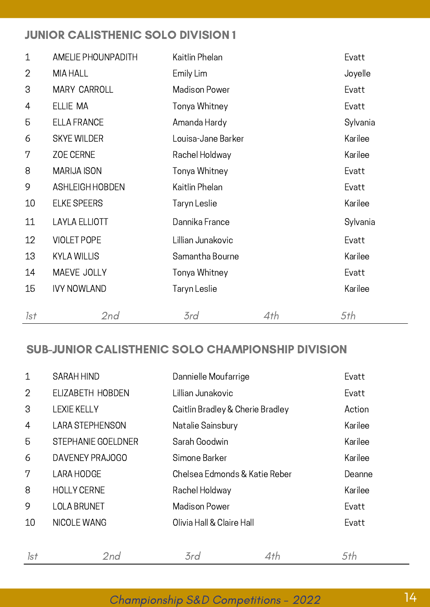#### JUNIOR CALISTHENIC SOLO DIVISION 1

| $\mathbf 1$    | <b>AMELIE PHOUNPADITH</b> | Kaitlin Phelan       |     | Evatt    |
|----------------|---------------------------|----------------------|-----|----------|
| $\overline{2}$ | MIA HALL                  | Emily Lim            |     | Joyelle  |
| 3              | <b>MARY CARROLL</b>       | <b>Madison Power</b> |     | Evatt    |
| 4              | ELLIE MA                  | Tonya Whitney        |     | Evatt    |
| 5              | <b>ELLA FRANCE</b>        | Amanda Hardy         |     | Sylvania |
| 6              | <b>SKYE WILDER</b>        | Louisa-Jane Barker   |     | Karilee  |
| 7              | ZOE CERNE                 | Rachel Holdway       |     | Karilee  |
| 8              | <b>MARIJA ISON</b>        | Tonya Whitney        |     | Evatt    |
| 9              | ASHLEIGH HOBDEN           | Kaitlin Phelan       |     | Evatt    |
| 10             | <b>ELKE SPEERS</b>        | Taryn Leslie         |     | Karilee  |
| 11             | <b>LAYLA ELLIOTT</b>      | Dannika France       |     | Sylvania |
| 12             | <b>VIOLET POPE</b>        | Lillian Junakovic    |     | Evatt    |
| 13             | <b>KYLA WILLIS</b>        | Samantha Bourne      |     | Karilee  |
| 14             | MAEVE JOLLY               | Tonya Whitney        |     | Evatt    |
| 15             | <b>IVY NOWLAND</b>        | Taryn Leslie         |     | Karilee  |
| 1st            | 2nd                       | 3rd                  | 4th | 5th      |

#### SUB-JUNIOR CALISTHENIC SOLO CHAMPIONSHIP DIVISION

| $\mathbf 1$    | <b>SARAH HIND</b>         | Dannielle Moufarrige             |     | Evatt   |
|----------------|---------------------------|----------------------------------|-----|---------|
| $\overline{2}$ | ELIZABETH HOBDEN          | Lillian Junakovic                |     | Evatt   |
| 3              | <b>LEXIE KELLY</b>        | Caitlin Bradley & Cherie Bradley |     | Action  |
| $\overline{4}$ | <b>LARA STEPHENSON</b>    | Natalie Sainsbury                |     | Karilee |
| 5              | <b>STEPHANIE GOELDNER</b> | Sarah Goodwin                    |     | Karilee |
| 6              | DAVENEY PRAJOGO           | Simone Barker                    |     | Karilee |
| 7              | <b>LARA HODGE</b>         | Chelsea Edmonds & Katie Reber    |     | Deanne  |
| 8              | <b>HOLLY CERNE</b>        | Rachel Holdway                   |     | Karilee |
| 9              | <b>LOLA BRUNET</b>        | <b>Madison Power</b>             |     |         |
| 10             | NICOLE WANG               | Olivia Hall & Claire Hall        |     | Evatt   |
|                |                           |                                  |     |         |
| 1st            | 2nd                       | 3rd                              | 4th | 5th     |

### Championship S&D Competitions - 2022 14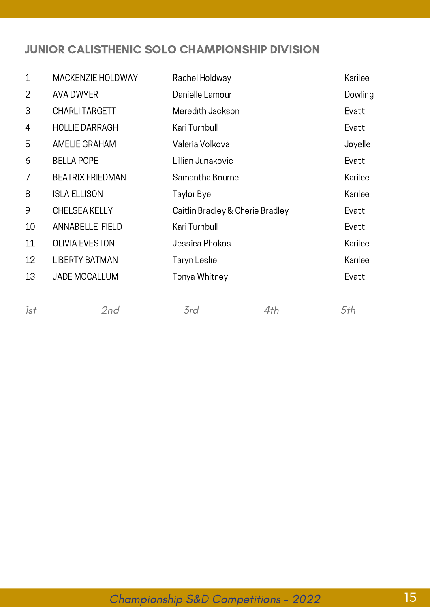#### JUNIOR CALISTHENIC SOLO CHAMPIONSHIP DIVISION

| $\mathbf 1$    | <b>MACKENZIE HOLDWAY</b> | Rachel Holdway                   |     | Karilee |
|----------------|--------------------------|----------------------------------|-----|---------|
| $\overline{2}$ | <b>AVA DWYER</b>         | Danielle Lamour                  |     |         |
| 3              | <b>CHARLI TARGETT</b>    | Meredith Jackson                 |     | Evatt   |
| 4              | <b>HOLLIE DARRAGH</b>    | Kari Turnbull                    |     | Evatt   |
| 5              | AMELIE GRAHAM            | Valeria Volkova                  |     | Joyelle |
| 6              | <b>BELLA POPE</b>        | Lillian Junakovic                |     | Evatt   |
| 7              | <b>BEATRIX FRIEDMAN</b>  | Samantha Bourne                  |     | Karilee |
| 8              | <b>ISLA ELLISON</b>      | Taylor Bye                       |     | Karilee |
| 9              | <b>CHELSEA KELLY</b>     | Caitlin Bradley & Cherie Bradley |     | Evatt   |
| 10             | <b>ANNABELLE FIELD</b>   | Kari Turnbull                    |     | Evatt   |
| 11             | <b>OLIVIA EVESTON</b>    | Jessica Phokos                   |     | Karilee |
| 12             | <b>LIBERTY BATMAN</b>    | Taryn Leslie                     |     | Karilee |
| 13             | <b>JADE MCCALLUM</b>     | Tonya Whitney                    |     | Evatt   |
|                |                          |                                  |     |         |
| 1st            | 2nd                      | 3rd                              | 4th | 5th     |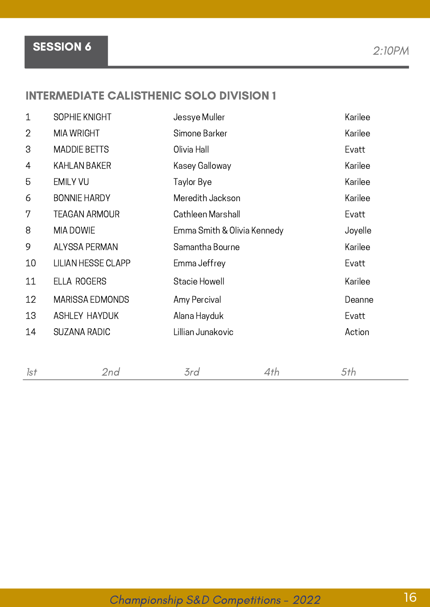SESSION 6 2:10PM

#### INTERMEDIATE CALISTHENIC SOLO DIVISION 1

| $\mathbf 1$    | SOPHIE KNIGHT             | Jessye Muller               | Karilee |
|----------------|---------------------------|-----------------------------|---------|
| $\overline{2}$ | <b>MIA WRIGHT</b>         | Simone Barker               | Karilee |
| 3              | <b>MADDIE BETTS</b>       | Olivia Hall                 | Evatt   |
| 4              | KAHLAN BAKER              | Kasey Galloway              | Karilee |
| 5              | <b>EMILY VU</b>           | Taylor Bye                  | Karilee |
| 6              | <b>BONNIE HARDY</b>       | Meredith Jackson            | Karilee |
| 7              | <b>TEAGAN ARMOUR</b>      | Cathleen Marshall           | Evatt   |
| 8              | MIA DOWIE                 | Emma Smith & Olivia Kennedy | Joyelle |
| 9              | <b>ALYSSA PERMAN</b>      | Samantha Bourne             | Karilee |
| 10             | <b>LILIAN HESSE CLAPP</b> | Emma Jeffrey                | Evatt   |
| 11             | <b>ELLA ROGERS</b>        | Stacie Howell               | Karilee |
| 12             | <b>MARISSA EDMONDS</b>    | Amy Percival                | Deanne  |
| 13             | <b>ASHLEY HAYDUK</b>      | Alana Hayduk                | Evatt   |
| 14             | <b>SUZANA RADIC</b>       | Lillian Junakovic           | Action  |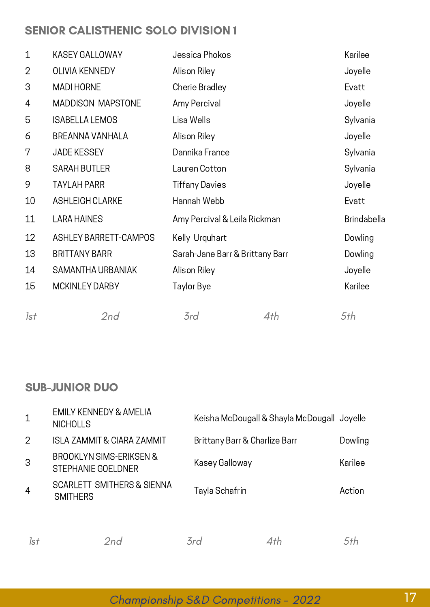#### SENIOR CALISTHENIC SOLO DIVISION 1

| $\mathbf{1}$   | <b>KASEY GALLOWAY</b>        | Jessica Phokos                  |     | Karilee            |
|----------------|------------------------------|---------------------------------|-----|--------------------|
| $\overline{2}$ | <b>OLIVIA KENNEDY</b>        | Alison Riley                    |     | Joyelle            |
| 3              | <b>MADI HORNE</b>            | Cherie Bradley                  |     | Evatt              |
| 4              | <b>MADDISON MAPSTONE</b>     | Amy Percival                    |     | Joyelle            |
| 5              | <b>ISABELLA LEMOS</b>        | Lisa Wells                      |     | Sylvania           |
| 6              | <b>BREANNA VANHALA</b>       | Alison Riley                    |     | Joyelle            |
| 7              | <b>JADE KESSEY</b>           | Dannika France                  |     | Sylvania           |
| 8              | <b>SARAH BUTLER</b>          | Lauren Cotton                   |     | Sylvania           |
| 9              | <b>TAYLAH PARR</b>           | <b>Tiffany Davies</b>           |     | Joyelle            |
| 10             | <b>ASHLEIGH CLARKE</b>       | Hannah Webb                     |     | Evatt              |
| 11             | <b>LARA HAINES</b>           | Amy Percival & Leila Rickman    |     | <b>Brindabella</b> |
| 12             | <b>ASHLEY BARRETT-CAMPOS</b> | Kelly Urquhart                  |     | Dowling            |
| 13             | <b>BRITTANY BARR</b>         | Sarah-Jane Barr & Brittany Barr |     | Dowling            |
| 14             | SAMANTHA URBANIAK            | Alison Riley                    |     | Joyelle            |
| 15             | MCKINLEY DARBY               | Taylor Bye                      |     | Karilee            |
| 1st            | 2nd                          | 3rd                             | 4th | 5th                |

#### SUB-JUNIOR DUO

| $\mathbf 1$    | <b>EMILY KENNEDY &amp; AMELIA</b><br><b>NICHOLLS</b>     |                               | Keisha McDougall & Shayla McDougall Joyelle |         |
|----------------|----------------------------------------------------------|-------------------------------|---------------------------------------------|---------|
| $\overline{2}$ | <b>ISLA ZAMMIT &amp; CIARA ZAMMIT</b>                    | Brittany Barr & Charlize Barr |                                             | Dowling |
| 3              | BROOKLYN SIMS-ERIKSEN &<br>STEPHANIE GOELDNER            | Kasey Galloway                |                                             | Karilee |
| $\overline{4}$ | <b>SCARLETT SMITHERS &amp; SIENNA</b><br><b>SMITHERS</b> | Tayla Schafrin                |                                             | Action  |
| 1st            | 2nd                                                      | 3rd                           | 4th                                         | 5th     |

## Championship S&D Competitions - 2022 17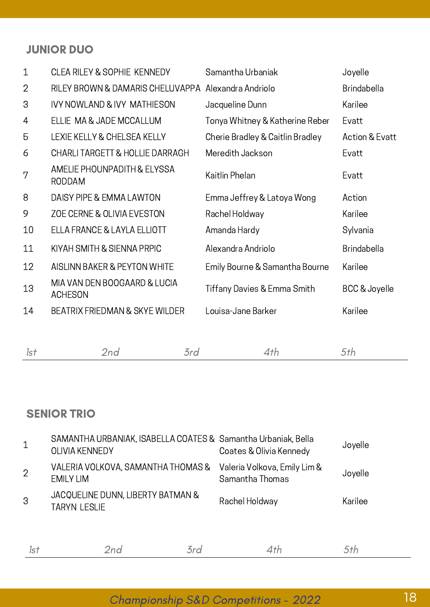#### JUNIOR DUO

| $\mathbf 1$    | <b>CLEA RILEY &amp; SOPHIE KENNEDY</b>              | Samantha Urbaniak                | Joyelle                   |
|----------------|-----------------------------------------------------|----------------------------------|---------------------------|
| $\overline{2}$ | RILEY BROWN & DAMARIS CHELUVAPPA Alexandra Andriolo |                                  | <b>Brindabella</b>        |
| 3              | <b>IVY NOWLAND &amp; IVY MATHIESON</b>              | Jacqueline Dunn                  | Karilee                   |
| 4              | ELLIE MA & JADE MCCALLUM                            | Tonya Whitney & Katherine Reber  | Evatt                     |
| 5              | LEXIE KELLY & CHELSEA KELLY                         | Cherie Bradley & Caitlin Bradley | <b>Action &amp; Evatt</b> |
| 6              | <b>CHARLI TARGETT &amp; HOLLIE DARRAGH</b>          | Meredith Jackson                 | Evatt                     |
| 7              | AMELIE PHOUNPADITH & ELYSSA<br><b>RODDAM</b>        | Kaitlin Phelan                   | Evatt                     |
| 8              | DAISY PIPE & EMMA LAWTON                            | Emma Jeffrey & Latoya Wong       | Action                    |
| 9              | ZOE CERNE & OLIVIA EVESTON                          | Rachel Holdway                   | Karilee                   |
| 10             | ELLA FRANCE & LAYLA ELLIOTT                         | Amanda Hardy                     | Sylvania                  |
| 11             | KIYAH SMITH & SIENNA PRPIC                          | Alexandra Andriolo               | <b>Brindabella</b>        |
| 12             | AISLINN BAKER & PEYTON WHITE                        | Emily Bourne & Samantha Bourne   | Karilee                   |
| 13             | MIA VAN DEN BOOGAARD & LUCIA<br><b>ACHESON</b>      | Tiffany Davies & Emma Smith      | BCC & Joyelle             |
| 14             | <b>BEATRIX FRIEDMAN &amp; SKYE WILDER</b>           | Louisa-Jane Barker               | Karilee                   |
|                |                                                     |                                  |                           |
|                |                                                     |                                  |                           |

|--|--|

#### SENIOR TRIO

| $\mathbf 1$    | SAMANTHA URBANIAK, ISABELLA COATES & Samantha Urbaniak, Bella<br><b>OLIVIA KENNEDY</b> |     | Coates & Olivia Kennedy                         | Joyelle |
|----------------|----------------------------------------------------------------------------------------|-----|-------------------------------------------------|---------|
| $\overline{2}$ | VALERIA VOLKOVA, SAMANTHA THOMAS &<br><b>EMILY LIM</b>                                 |     | Valeria Volkova, Emily Lim &<br>Samantha Thomas | Joyelle |
| 3              | JACQUELINE DUNN, LIBERTY BATMAN &<br><b>TARYN LESLIE</b>                               |     | Rachel Holdway                                  | Karilee |
| 1st            | 2nd                                                                                    | 3rd | 4th                                             |         |

Championship S&D Competitions - 2022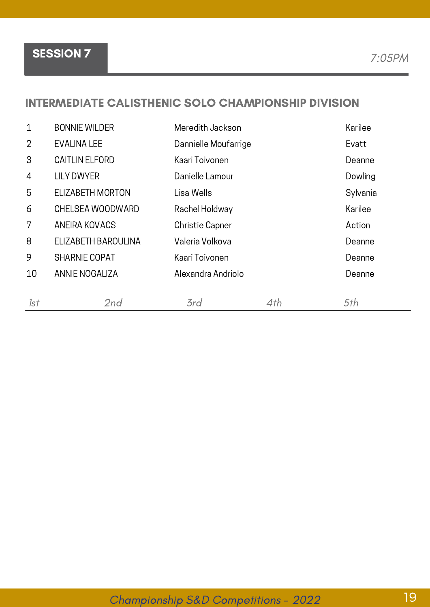#### INTERMEDIATE CALISTHENIC SOLO CHAMPIONSHIP DIVISION

| $\mathbf 1$    | <b>BONNIE WILDER</b>  | Meredith Jackson       |     | Karilee  |
|----------------|-----------------------|------------------------|-----|----------|
| $\overline{2}$ | <b>EVALINA LEE</b>    | Dannielle Moufarrige   |     | Evatt    |
| 3              | <b>CAITLIN ELFORD</b> | Kaari Toivonen         |     | Deanne   |
| $\overline{4}$ | <b>LILY DWYER</b>     | Danielle Lamour        |     | Dowling  |
| 5              | ELIZABETH MORTON      | Lisa Wells             |     | Sylvania |
| 6              | CHELSEA WOODWARD      | Rachel Holdway         |     | Karilee  |
| 7              | ANEIRA KOVACS         | <b>Christie Capner</b> |     | Action   |
| 8              | ELIZABETH BAROULINA   | Valeria Volkova        |     | Deanne   |
| 9              | <b>SHARNIE COPAT</b>  | Kaari Toivonen         |     | Deanne   |
| 10             | ANNIE NOGALIZA        | Alexandra Andriolo     |     | Deanne   |
|                |                       |                        |     |          |
| 1st            | 2nd                   | 3rd                    | 4th | 5th      |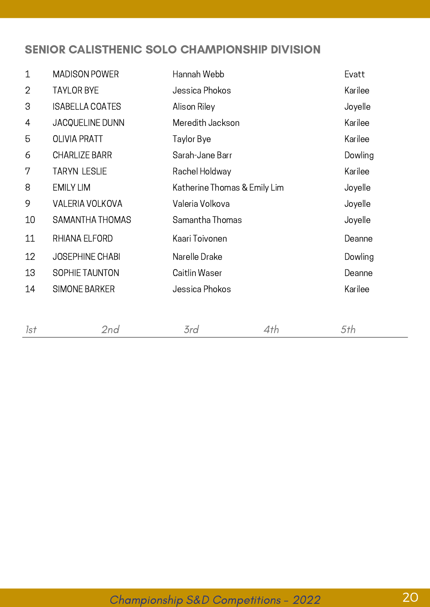#### SENIOR CALISTHENIC SOLO CHAMPIONSHIP DIVISION

| $\mathbf{1}$ | <b>MADISON POWER</b>   | Hannah Webb                  |     | Evatt   |
|--------------|------------------------|------------------------------|-----|---------|
| $\mathbf{2}$ | <b>TAYLOR BYE</b>      | Jessica Phokos               |     | Karilee |
| 3            | <b>ISABELLA COATES</b> | Alison Riley                 |     | Joyelle |
| 4            | JACQUELINE DUNN        | Meredith Jackson             |     | Karilee |
| 5            | <b>OLIVIA PRATT</b>    | Taylor Bye                   |     | Karilee |
| 6            | <b>CHARLIZE BARR</b>   | Sarah-Jane Barr              |     | Dowling |
| 7            | <b>TARYN LESLIE</b>    | Rachel Holdway               |     | Karilee |
| 8            | <b>EMILY LIM</b>       | Katherine Thomas & Emily Lim |     | Joyelle |
| 9            | <b>VALERIA VOLKOVA</b> | Valeria Volkova              |     | Joyelle |
| 10           | SAMANTHA THOMAS        | Samantha Thomas              |     | Joyelle |
| 11           | RHIANA ELFORD          | Kaari Toivonen               |     | Deanne  |
| 12           | <b>JOSEPHINE CHABI</b> | Narelle Drake                |     | Dowling |
| 13           | SOPHIE TAUNTON         | Caitlin Waser                |     | Deanne  |
| 14           | <b>SIMONE BARKER</b>   | Jessica Phokos               |     | Karilee |
|              |                        |                              |     |         |
| 1st          | 2nd                    | 3rd                          | 4th | 5th     |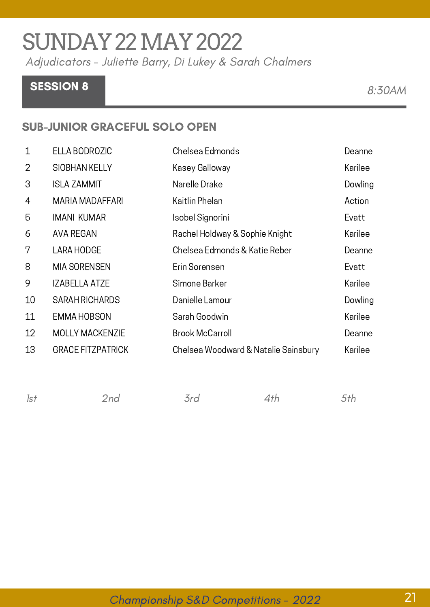# SUNDAY22MAY2022

Adjudicators - Juliette Barry, Di Lukey & Sarah Chalmers

## SESSION 8 8:30AM

#### SUB-JUNIOR GRACEFUL SOLO OPEN

| Karilee |
|---------|
|         |
| Dowling |
| Action  |
| Evatt   |
| Karilee |
| Deanne  |
| Evatt   |
| Karilee |
| Dowling |
| Karilee |
| Deanne  |
| Karilee |
|         |

| 1st | 'nd | $\rightarrow$<br>erd. | Τh | ヘナわ |
|-----|-----|-----------------------|----|-----|
|     |     |                       |    |     |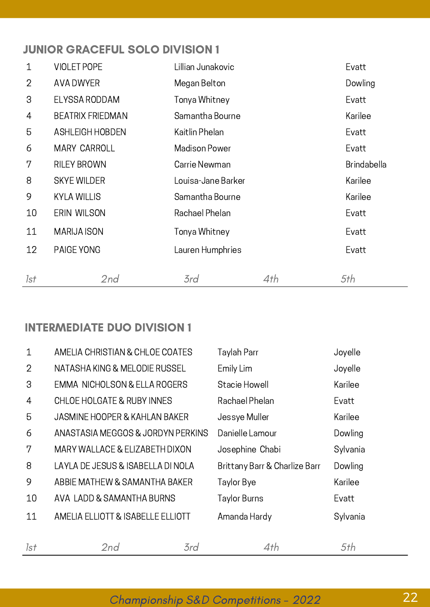#### JUNIOR GRACEFUL SOLO DIVISION 1

| 1   | <b>VIOLET POPE</b>      | Lillian Junakovic    |     | Evatt              |
|-----|-------------------------|----------------------|-----|--------------------|
| 2   | AVA DWYER               | Megan Belton         |     | Dowling            |
| 3   | <b>ELYSSA RODDAM</b>    | Tonya Whitney        |     | Evatt              |
| 4   | <b>BEATRIX FRIEDMAN</b> | Samantha Bourne      |     | Karilee            |
| 5   | <b>ASHLEIGH HOBDEN</b>  | Kaitlin Phelan       |     | Evatt              |
| 6   | <b>MARY CARROLL</b>     | <b>Madison Power</b> |     | Evatt              |
| 7   | <b>RILEY BROWN</b>      | Carrie Newman        |     | <b>Brindabella</b> |
| 8   | <b>SKYE WILDER</b>      | Louisa-Jane Barker   |     | Karilee            |
| 9   | <b>KYLA WILLIS</b>      | Samantha Bourne      |     | Karilee            |
| 10  | ERIN WILSON             | Rachael Phelan       |     | Evatt              |
| 11  | <b>MARIJA ISON</b>      | Tonya Whitney        |     | Evatt              |
| 12  | PAIGE YONG              | Lauren Humphries     |     | Evatt              |
|     |                         |                      |     |                    |
| 1st | 2nd                     | 3rd                  | 4th | 5th                |

#### INTERMEDIATE DUO DIVISION 1

| $\mathbf{1}$   | AMELIA CHRISTIAN & CHLOE COATES         | Taylah Parr                   | Joyelle  |
|----------------|-----------------------------------------|-------------------------------|----------|
| $\overline{2}$ | NATASHA KING & MELODIE RUSSEL           | Emily Lim                     | Joyelle  |
| 3              | <b>EMMA NICHOLSON &amp; ELLA ROGERS</b> | Stacie Howell                 | Karilee  |
| $\overline{4}$ | CHLOE HOLGATE & RUBY INNES              | Rachael Phelan                | Evatt    |
| 5              | JASMINE HOOPER & KAHLAN BAKER           | Jessye Muller                 | Karilee  |
| 6              | ANASTASIA MEGGOS & JORDYN PERKINS       | Danielle Lamour               | Dowling  |
| 7              | MARY WALLACE & ELIZABETH DIXON          | Josephine Chabi               | Sylvania |
| 8              | LAYLA DE JESUS & ISABELLA DI NOLA       | Brittany Barr & Charlize Barr | Dowling  |
| 9              | ABBIE MATHEW & SAMANTHA BAKER           | Taylor Bye                    | Karilee  |
| 10             | AVA LADD & SAMANTHA BURNS               | Taylor Burns                  | Evatt    |
| 11             | AMELIA ELLIOTT & ISABELLE ELLIOTT       | Amanda Hardy                  | Sylvania |
| 1st            | 2nd                                     | 3rd<br>4th                    | 5th      |

## Championship S&D Competitions - 2022 22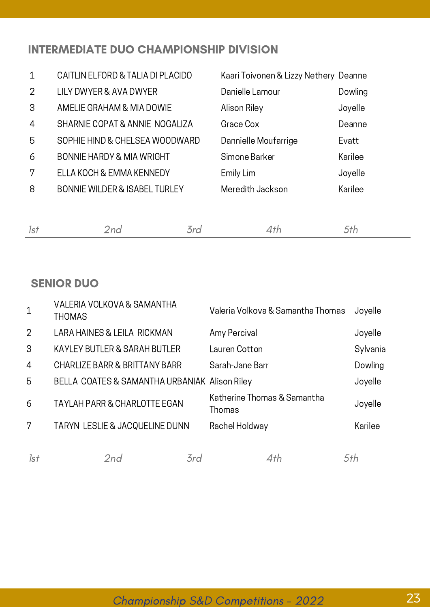#### INTERMEDIATE DUO CHAMPIONSHIP DIVISION

| $\mathbf{1}$   | CAITLIN ELFORD & TALIA DI PLACIDO        | Kaari Toivonen & Lizzy Nethery Deanne |         |
|----------------|------------------------------------------|---------------------------------------|---------|
| 2              | LILY DWYER & AVA DWYER                   | Danielle Lamour                       | Dowling |
| 3              | AMELIE GRAHAM & MIA DOWIE                | Alison Riley                          | Joyelle |
| $\overline{4}$ | SHARNIE COPAT & ANNIE NOGALIZA           | Grace Cox                             | Deanne  |
| 5              | SOPHIE HIND & CHELSEA WOODWARD           | Dannielle Moufarrige                  | Evatt   |
| 6              | <b>BONNIE HARDY &amp; MIA WRIGHT</b>     | Simone Barker                         | Karilee |
| 7              | ELLA KOCH & EMMA KENNEDY                 | Emily Lim                             | Joyelle |
| 8              | <b>BONNIE WILDER &amp; ISABEL TURLEY</b> | Meredith Jackson                      | Karilee |

#### SENIOR DUO

| $\mathbf 1$    | VALERIA VOLKOVA & SAMANTHA<br><b>THOMAS</b>   |     | Valeria Volkova & Samantha Thomas     | Joyelle  |
|----------------|-----------------------------------------------|-----|---------------------------------------|----------|
| $\overline{2}$ | LARA HAINES & LEILA RICKMAN                   |     | Amy Percival                          | Joyelle  |
| 3              | <b>KAYLEY BUTLER &amp; SARAH BUTLER</b>       |     | Lauren Cotton                         | Sylvania |
| $\overline{4}$ | CHARLIZE BARR & BRITTANY BARR                 |     | Sarah-Jane Barr                       | Dowling  |
| 5              | BELLA COATES & SAMANTHA URBANIAK Alison Riley |     |                                       | Joyelle  |
| 6              | <b>TAYLAH PARR &amp; CHARLOTTE EGAN</b>       |     | Katherine Thomas & Samantha<br>Thomas | Joyelle  |
| 7              | TARYN LESLIE & JACQUELINE DUNN                |     | Rachel Holdway                        | Karilee  |
|                |                                               |     |                                       |          |
| Isf            | 2nd                                           | 3rd | 4th                                   | 5th      |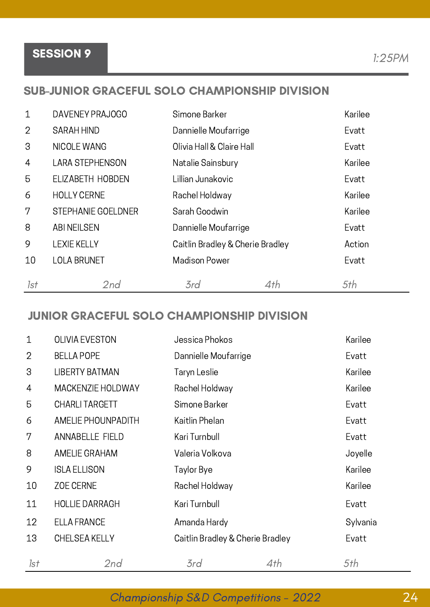Championship S&D Competitions - 2022 24

## SESSION 9 1:25PM

#### SUB-JUNIOR GRACEFUL SOLO CHAMPIONSHIP DIVISION

| $\mathbf{1}$   | DAVENEY PRAJOGO        | Simone Barker                    |     | Karilee |
|----------------|------------------------|----------------------------------|-----|---------|
| $\overline{2}$ | <b>SARAH HIND</b>      | Dannielle Moufarrige             |     | Evatt   |
| 3              | NICOLE WANG            | Olivia Hall & Claire Hall        |     | Evatt   |
| 4              | <b>LARA STEPHENSON</b> | Natalie Sainsbury                |     | Karilee |
| 5              | ELIZABETH HOBDEN       | Lillian Junakovic                |     | Evatt   |
| 6              | <b>HOLLY CERNE</b>     | Rachel Holdway                   |     | Karilee |
| $7\phantom{.}$ | STEPHANIE GOELDNER     | Sarah Goodwin                    |     | Karilee |
| 8              | <b>ABI NEILSEN</b>     | Dannielle Moufarrige             |     | Evatt   |
| 9              | <b>LEXIE KELLY</b>     | Caitlin Bradley & Cherie Bradley |     | Action  |
| 10             | <b>LOLA BRUNET</b>     | <b>Madison Power</b>             |     | Evatt   |
| 1st            | 2nd                    | 3rd                              | 4th | 5th     |

#### JUNIOR GRACEFUL SOLO CHAMPIONSHIP DIVISION

| $\mathbf{1}$   | <b>OLIVIA EVESTON</b>     | Jessica Phokos                   |     | Karilee  |
|----------------|---------------------------|----------------------------------|-----|----------|
| $\overline{2}$ | <b>BELLA POPE</b>         | Dannielle Moufarrige             |     | Evatt    |
| 3              | <b>LIBERTY BATMAN</b>     | Taryn Leslie                     |     | Karilee  |
| 4              | <b>MACKENZIE HOLDWAY</b>  | Rachel Holdway                   |     | Karilee  |
| 5              | <b>CHARLITARGETT</b>      | Simone Barker                    |     | Evatt    |
| 6              | <b>AMELIE PHOUNPADITH</b> | Kaitlin Phelan                   |     | Evatt    |
| 7              | <b>ANNABELLE FIELD</b>    | Kari Turnbull                    |     | Evatt    |
| 8              | <b>AMELIE GRAHAM</b>      | Valeria Volkova                  |     | Joyelle  |
| 9              | <b>ISLA ELLISON</b>       | Taylor Bye                       |     | Karilee  |
| 10             | <b>ZOE CERNE</b>          | Rachel Holdway                   |     | Karilee  |
| 11             | <b>HOLLIE DARRAGH</b>     | Kari Turnbull                    |     | Evatt    |
| 12             | <b>ELLA FRANCE</b>        | Amanda Hardy                     |     | Sylvania |
| 13             | <b>CHELSEA KELLY</b>      | Caitlin Bradley & Cherie Bradley |     | Evatt    |
| 1st            | 2nd                       | 3rd                              | 4th | 5th      |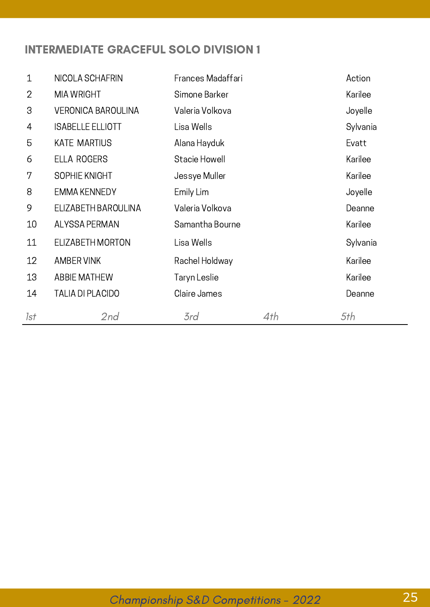#### INTERMEDIATE GRACEFUL SOLO DIVISION 1

| $\mathbf{1}$   | NICOLA SCHAFRIN           | Frances Madaffari |     | Action   |
|----------------|---------------------------|-------------------|-----|----------|
| $\overline{2}$ | <b>MIA WRIGHT</b>         | Simone Barker     |     | Karilee  |
| 3              | <b>VERONICA BAROULINA</b> | Valeria Volkova   |     | Joyelle  |
| 4              | <b>ISABELLE ELLIOTT</b>   | Lisa Wells        |     | Sylvania |
| 5              | <b>KATE MARTIUS</b>       | Alana Hayduk      |     | Evatt    |
| 6              | <b>ELLA ROGERS</b>        | Stacie Howell     |     | Karilee  |
| 7              | SOPHIE KNIGHT             | Jessye Muller     |     | Karilee  |
| 8              | <b>EMMA KENNEDY</b>       | Emily Lim         |     | Joyelle  |
| 9              | ELIZABETH BAROULINA       | Valeria Volkova   |     | Deanne   |
| 10             | <b>ALYSSA PERMAN</b>      | Samantha Bourne   |     | Karilee  |
| 11             | ELIZABETH MORTON          | Lisa Wells        |     | Sylvania |
| 12             | <b>AMBER VINK</b>         | Rachel Holdway    |     | Karilee  |
| 13             | <b>ABBIE MATHEW</b>       | Taryn Leslie      |     | Karilee  |
| 14             | <b>TALIA DI PLACIDO</b>   | Claire James      |     | Deanne   |
| 1st            | 2nd                       | 3rd               | 4th | 5th      |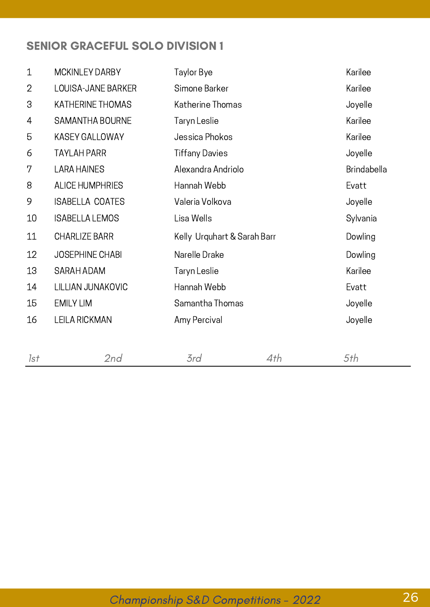#### SENIOR GRACEFUL SOLO DIVISION 1

| $\mathbf 1$  | <b>MCKINLEY DARBY</b>     | Taylor Bye                  | Karilee            |
|--------------|---------------------------|-----------------------------|--------------------|
| $\mathbf{2}$ | <b>LOUISA-JANE BARKER</b> | Simone Barker               | Karilee            |
| 3            | <b>KATHERINE THOMAS</b>   | Katherine Thomas            | Joyelle            |
| 4            | SAMANTHA BOURNE           | Taryn Leslie                | Karilee            |
| 5            | <b>KASEY GALLOWAY</b>     | Jessica Phokos              | Karilee            |
| 6            | <b>TAYLAH PARR</b>        | <b>Tiffany Davies</b>       | Joyelle            |
| 7            | <b>LARA HAINES</b>        | Alexandra Andriolo          | <b>Brindabella</b> |
| 8            | <b>ALICE HUMPHRIES</b>    | Hannah Webb                 | Evatt              |
| 9            | <b>ISABELLA COATES</b>    | Valeria Volkova             | Joyelle            |
| 10           | <b>ISABELLA LEMOS</b>     | Lisa Wells                  | Sylvania           |
| 11           | <b>CHARLIZE BARR</b>      | Kelly Urquhart & Sarah Barr | Dowling            |
| 12           | <b>JOSEPHINE CHABI</b>    | Narelle Drake               | Dowling            |
| 13           | SARAH ADAM                | Taryn Leslie                | Karilee            |
| 14           | LILLIAN JUNAKOVIC         | Hannah Webb                 | Evatt              |
| 15           | <b>EMILY LIM</b>          | Samantha Thomas             | Joyelle            |
| 16           | LEILA RICKMAN             | Amy Percival                | Joyelle            |
|              |                           |                             |                    |
|              |                           |                             |                    |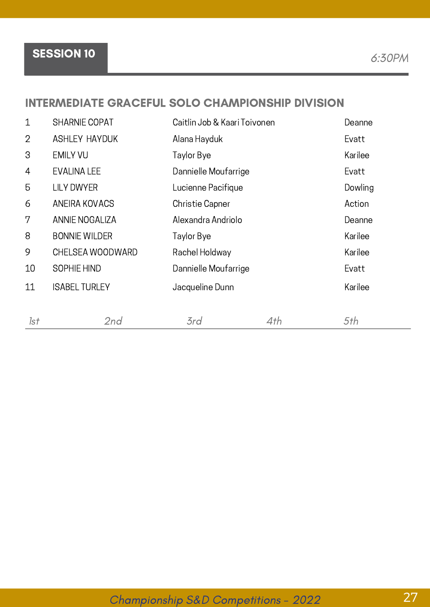Championship S&D Competitions - <sup>2022</sup> 27

## SESSION 10 6:30PM

#### INTERMEDIATE GRACEFUL SOLO CHAMPIONSHIP DIVISION

| $\mathbf{1}$   | <b>SHARNIE COPAT</b>  | Caitlin Job & Kaari Toivonen |     | Deanne  |
|----------------|-----------------------|------------------------------|-----|---------|
| $\overline{2}$ | <b>ASHLEY HAYDUK</b>  | Alana Hayduk                 |     | Evatt   |
| 3              | <b>EMILY VU</b>       | Taylor Bye                   |     | Karilee |
| $\overline{4}$ | <b>EVALINA LEE</b>    | Dannielle Moufarrige         |     | Evatt   |
| 5              | <b>LILY DWYER</b>     | Lucienne Pacifique           |     | Dowling |
| 6              | ANEIRA KOVACS         | <b>Christie Capner</b>       |     | Action  |
| 7              | <b>ANNIE NOGALIZA</b> | Alexandra Andriolo           |     | Deanne  |
| 8              | <b>BONNIE WILDER</b>  | Taylor Bye                   |     | Karilee |
| 9              | CHELSEA WOODWARD      | Rachel Holdway               |     | Karilee |
| 10             | SOPHIE HIND           | Dannielle Moufarrige         |     | Evatt   |
| 11             | <b>ISABEL TURLEY</b>  | Jacqueline Dunn              |     | Karilee |
|                |                       |                              |     |         |
| 1st            | 2nd                   | 3rd                          | 4th | 5th     |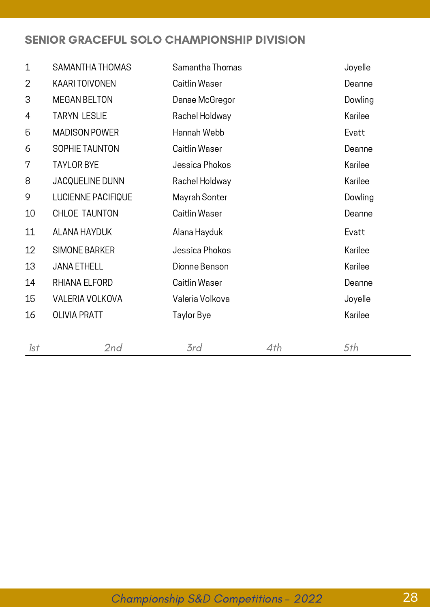#### SENIOR GRACEFUL SOLO CHAMPIONSHIP DIVISION

| $\mathbf 1$    | SAMANTHA THOMAS       | Samantha Thomas |     | Joyelle |
|----------------|-----------------------|-----------------|-----|---------|
| $\overline{2}$ | <b>KAARI TOIVONEN</b> | Caitlin Waser   |     | Deanne  |
| 3              | <b>MEGAN BELTON</b>   | Danae McGregor  |     | Dowling |
| 4              | <b>TARYN LESLIE</b>   | Rachel Holdway  |     | Karilee |
| 5              | <b>MADISON POWER</b>  | Hannah Webb     |     | Evatt   |
| 6              | SOPHIE TAUNTON        | Caitlin Waser   |     | Deanne  |
| 7              | <b>TAYLOR BYE</b>     | Jessica Phokos  |     | Karilee |
| 8              | JACQUELINE DUNN       | Rachel Holdway  |     | Karilee |
| 9              | LUCIENNE PACIFIQUE    | Mayrah Sonter   |     | Dowling |
| $10\,$         | CHLOE TAUNTON         | Caitlin Waser   |     | Deanne  |
| 11             | ALANA HAYDUK          | Alana Hayduk    |     | Evatt   |
| 12             | <b>SIMONE BARKER</b>  | Jessica Phokos  |     | Karilee |
| 13             | <b>JANA ETHELL</b>    | Dionne Benson   |     | Karilee |
| 14             | RHIANA ELFORD         | Caitlin Waser   |     | Deanne  |
| 15             | VALERIA VOLKOVA       | Valeria Volkova |     | Joyelle |
| 16             | <b>OLIVIA PRATT</b>   | Taylor Bye      |     | Karilee |
|                |                       |                 |     |         |
| 1st            | 2nd                   | 3rd             | 4th | 5th     |